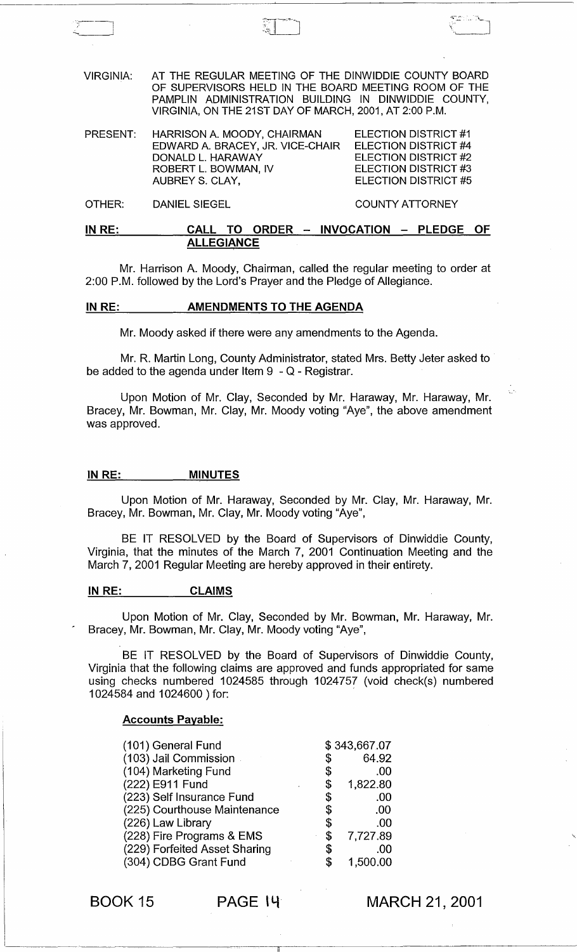VIRGINIA: AT THE REGULAR MEETING OF THE DINWIDDIE COUNTY BOARD OF SUPERVISORS HELD IN THE BOARD MEETING ROOM OF THE PAMPLIN ADMINISTRATION BUILDING IN DINWIDDIE COUNTY, VIRGINIA, ON THE 21ST DAY OF MARCH, 2001, AT 2:00 P.M.

PRESENT: HARRISON A. MOODY, CHAIRMAN EDWARD A. BRACEY, JR. VICE-CHAIR DONALD L. HARAWAY ELECTION DISTRICT #1 ELECTION DISTRICT #4 ELECTION DISTRICT #2 ELECTION DISTRICT #3 ELECTION DISTRICT #5 ROBERT L. BOWMAN, IV AUBREY S. CLAY,

OTHER: DANIEL SIEGEL COUNTY ATTORNEY

Ŏ.

# IN RE: CALL TO ORDER - INVOCATION - PLEDGE OF **ALLEGIANCE**

Mr. Harrison A. Moody, Chairman, called the regular meeting to order at 2:00 P.M. followed by the Lord's Prayer and the Pledge of Allegiance.

## IN RE: AMENDMENTS TO THE AGENDA

Mr. Moody asked if there were any amendments to the Agenda.

Mr. R. Martin Long, County Administrator, stated Mrs. Betty Jeter asked to be added to the agenda under Item  $9 - Q$  - Registrar.

Upon Motion of Mr. Clay, Seconded by Mr. Haraway, Mr. Haraway, Mr. Bracey, Mr. Bowman, Mr. Clay, Mr. Moody voting "Aye", the above amendment was approved.

### IN RE: MINUTES

Upon Motion of Mr. Haraway, Seconded by Mr. Clay, Mr. Haraway, Mr. Bracey, Mr. Bowman, Mr. Clay, Mr. Moody voting "Aye",

BE IT RESOLVED by the Board of Supervisors of Dinwiddie County, Virginia, that the minutes of the March 7, 2001 Continuation Meeting and the March 7, 2001 Regular Meeting are hereby approved in their entirety.

#### INRE: CLAIMS

Upon Motion of Mr. Clay, Seconded by Mr. Bowman, Mr. Haraway, Mr. Bracey, Mr. Bowman, Mr. Clay, Mr. Moody voting "Aye",

BE IT RESOLVED by the Board of Supervisors of Dinwiddie County, Virginia that the following claims are approved and funds appropriated for same using checks numbered 1024585 through 1024757 (void check(s) numbered 1024584 and 1024600 ) for: '

#### Accounts Payable:

| (101) General Fund            |    | \$343,667.07 |
|-------------------------------|----|--------------|
| (103) Jail Commission         | \$ | 64.92        |
| (104) Marketing Fund          | \$ | .00          |
| (222) E911 Fund               | \$ | 1,822.80     |
| (223) Self Insurance Fund     | \$ | .00          |
| (225) Courthouse Maintenance  | \$ | .00          |
| (226) Law Library             | \$ | .00          |
| (228) Fire Programs & EMS     | S  | 7,727.89     |
| (229) Forfeited Asset Sharing | S  | .00          |
| (304) CDBG Grant Fund         | \$ | 1,500.00     |

BOOK 15 PAGE 14

MARCH 21, 2001

 $\checkmark$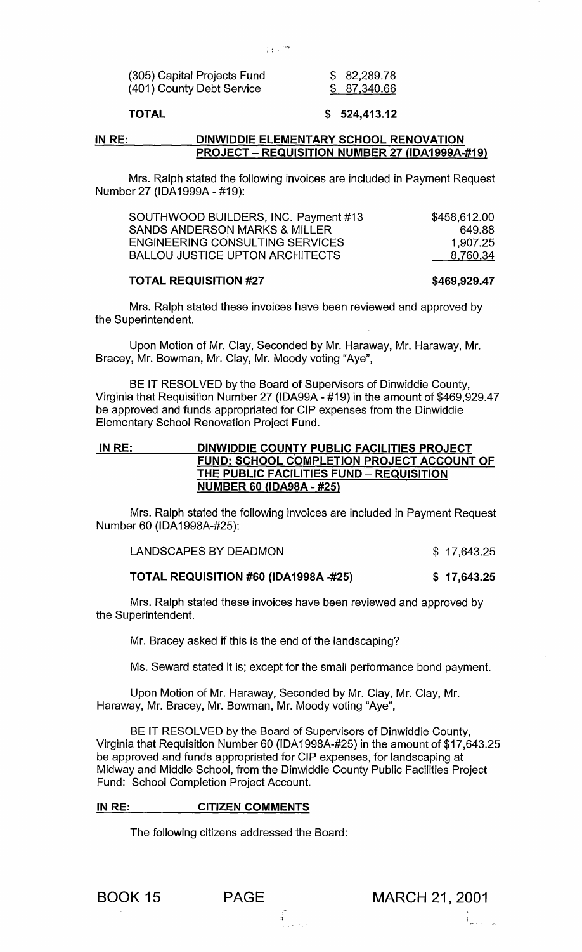| (305) Capital Projects Fund | \$82,289.78  |
|-----------------------------|--------------|
| (401) County Debt Service   | \$ 87,340.66 |
|                             |              |

### TOTAL

## \$ 524,413.12

#### IN RE: DINWIDDIE ELEMENTARY SCHOOL RENOVATION PROJECT - REQUISITION NUMBER 27 (lDA1999A-#19)

Mrs. Ralph stated the following invoices are included in Payment Request Number 27 (IDA1999A - #19):

| SOUTHWOOD BUILDERS, INC. Payment #13 | \$458,612.00 |
|--------------------------------------|--------------|
| SANDS ANDERSON MARKS & MILLER        | 649.88       |
| ENGINEERING CONSULTING SERVICES      | 1.907.25     |
| BALLOU JUSTICE UPTON ARCHITECTS      | 8,760.34     |

#### TOTAL REQUISITION #27

\$469,929.47

Mrs. Ralph stated these invoices have been reviewed and approved by the Superintendent.

Upon Motion of Mr. Clay, Seconded by Mr. Haraway, Mr. Haraway, Mr. Bracey, Mr. Bowman, Mr. Clay, Mr. Moody voting "Aye",

BE IT RESOLVED by the Board of Supervisors of Dinwiddie County, Virginia that Requisition Number 27 (IDA99A - #19) in the amount of \$469,929.47 be approved and funds appropriated for CIP expenses from the Dinwiddie Elementary School Renovation Project Fund.

# IN RE: DINWIDDIE COUNTY PUBLIC FACILITIES PROJECT FUND: SCHOOL COMPLETION PROJECT ACCOUNT OF THE PUBLIC FACILITIES FUND - REQUISITION NUMBER 60 (lDA98A - #25)

Mrs. Ralph stated the following invoices are included in Payment Request Number 60 (IDA1998A-#25):

LANDSCAPES BY DEADMON \$ 17,643.25

#### TOTAL REQUISITION #60 (IDA1998A -#25) \$ 17,643.25

Mrs. Ralph stated these invoices have been reviewed and approved by the Superintendent.

Mr. Bracey asked if this is the end of the landscaping?

Ms. Seward stated it is; except for the small performance bond payment.

Upon Motion of Mr. Haraway, Seconded by Mr. Clay, Mr. Clay, Mr. Haraway, Mr. Bracey, Mr. Bowman, Mr. Moody voting "Aye",

BE IT RESOLVED by the Board of Supervisors of Dinwiddie County, Virginia that Requisition Number 60 (IDA1998A-#25) in the amount of \$17,643.25 be approved and funds appropriated for CIP expenses, for landscaping at Midway and Middle School, from the Dinwiddie County Public Facilities Project Fund: School Completion Project Account.

 $\int_{\mathbb{R}^{2}}$ 

### IN RE: CITIZEN COMMENTS

The following citizens addressed the Board:

 $\frac{1}{2}$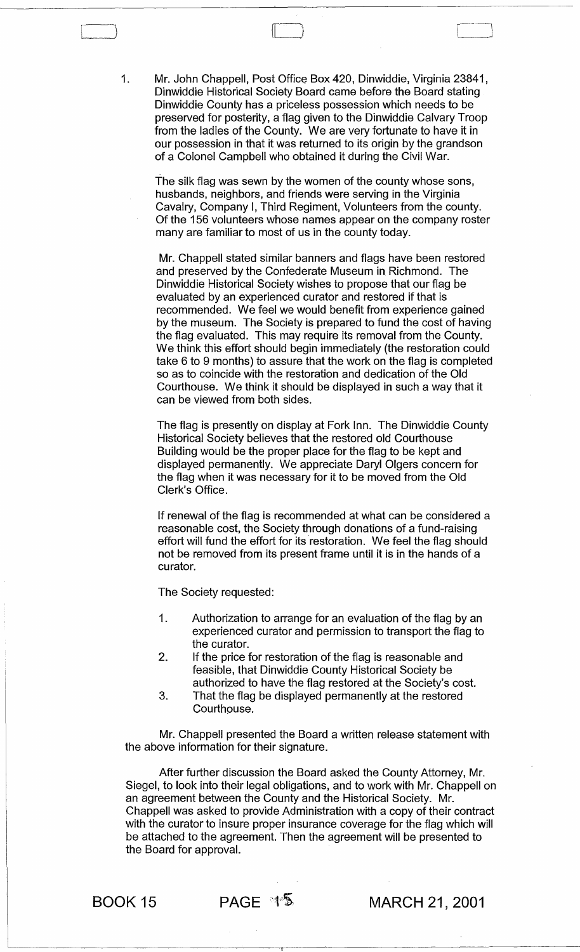1. Mr. John Chappell, Post Office Box 420, Dinwiddie, Virginia 23841, Dinwiddie Historical Society Board came before the Board stating Dinwiddie County has a priceless possession which needs to be preserved for posterity, a flag given to the Dinwiddie Calvary Troop from the ladies of the County. We are very fortunate to have it in our possession in that it was returned to its origin by the grandson of a Colonel Campbell who obtained it during the Civil War.

The silk flag was sewn by the women of the county whose sons, husbands, neighbors, and friends were serving in the Virginia Cavalry, Company I, Third Regiment, Volunteers from the county. Of the 156 volunteers whose names appear on the company roster many are familiar to most of us in the county today.

Mr. Chappell stated similar banners and flags have been restored and preserved by the Confederate Museum in Richmond. The Dinwiddie Historical Society wishes to propose that our flag be evaluated by an experienced curator and restored if that is recommended. We feel we would benefit from experience gained by the museum. The Society is prepared to fund the cost of having the flag evaluated. This may require its removal from the County. We think this effort should begin immediately (the restoration could take 6 to 9 months) to assure that the work on the flag is completed so as to coincide with the restoration and dedication of the Old Courthouse. We think it should be displayed in such a way that it can be viewed from both sides.

The flag is presently on display at Fork Inn. The Dinwiddie County Historical Society believes that the restored old Courthouse Building would be the proper place for the flag to be kept and displayed permanently. We appreciate Daryl Olgers concern for the flag when it was necessary for it to be moved from the Old Clerk's Office.

If renewal of the flag is recommended at what can be considered a reasonable cost, the Society through donations of a fund-raising effort will fund the effort for its restoration. We feel the flag should not be removed from its present frame until it is in the hands of a curator.

The Society requested:

- 1. Authorization to arrange for an evaluation of the flag by an experienced curator and permission to transport the flag to the curator.
- 2. If the price for restoration of the flag is reasonable and feasible, that Dinwiddie County Historical Society be authorized to have the flag restored at the Society's cost.
- 3. That the flag be displayed permanently at the restored Courthouse.

Mr. Chappell presented the Board a written release statement with the above information for their signature.

After further discussion the Board asked the County Attorney, Mr. Siegel, to look into their legal obligations, and to work with Mr. Chappell on an agreement between the County and the Historical Society. Mr. Chappell was asked to provide Administration with a copy of their contract with the curator to insure proper insurance coverage for the flag which will be attached to the agreement. Then the agreement will be presented to the Board for approval.

 $\Box$ 

BOOK 15 BOOK 15 MAGE  $\sqrt[4]{5}$  MARCH 21, 2001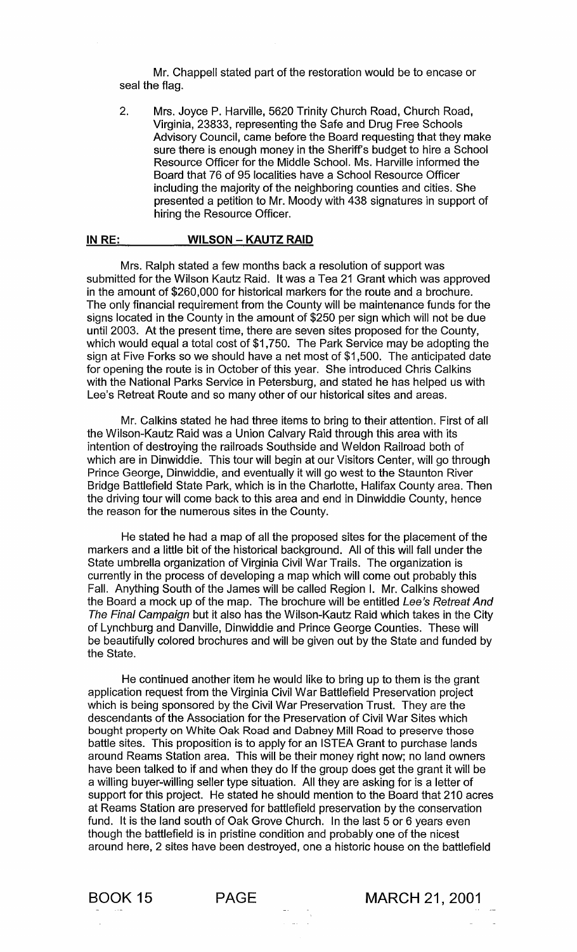Mr. Chappell stated part of the restoration would be to encase or seal the flag.

2. Mrs. Joyce P. Harville, 5620 Trinity Church Road, Church Road, Virginia, 23833, representing the Safe and Drug Free Schools Advisory Council, came before the Board requesting that they make sure there is enough money in the Sheriff's budget to hire a School Resource Officer for the Middle School. Ms. Harville informed the Board that 76 of 95 localities have a School Resource Officer including the majority of the neighboring counties and cities. She presented a petition to Mr. Moody with 438 signatures in support of hiring the Resource Officer.

#### **IN RE: WILSON - KAUTZ RAID**

Mrs. Ralph stated a few months back a resolution of support was submitted for the Wilson Kautz Raid. It was a Tea 21 Grant which was approved in the amount of \$260,000 for historical markers for the route and a brochure. The only financial requirement from the County will be maintenance funds for the signs located in the County in the amount of \$250 per sign which will not be due until 2003. At the present time, there are seven sites proposed for the County, which would equal a total cost of \$1,750. The Park Service may be adopting the sign at Five Forks so we should have a net most of \$1 ,500. The anticipated date for opening the route is in October of this year. She introduced Chris Calkins with the National Parks Service in Petersburg, and stated he has helped us with Lee's Retreat Route and so many other of our historical sites and areas.

Mr. Calkins stated he had three items to bring to their attention. First of all the Wilson-Kautz Raid was a Union Calvary Raid through this area with its intention of destroying the railroads Southside and Weldon Railroad both of which are in Dinwiddie. This tour will begin at our Visitors Center, will go through Prince George, Dinwiddie, and eventually it will go west to the Staunton River Bridge Battlefield State Park, which is in the Charlotte, Halifax County area. Then the driving tour will come back to this area and end in Dinwiddie County, hence the reason for the numerous sites in the County.

He stated he had a map of all the proposed sites for the placement of the markers and a little bit of the historical background. All of this will fall under the State umbrella organization of Virginia Civil War Trails. The organization is currently in the process of developing a map which will come out probably this Fall. Anything South of the James will be called Region I. Mr. Calkins showed the Board a mock up of the map. The brochure will be entitled Lee's Retreat And The Final Campaign but it also has the Wilson-Kautz Raid which takes in the City of Lynchburg and Danville, Dinwiddie and Prince George Counties. These will be beautifully colored brochures and will be given out by the State and funded by the State.

He continued another item he would like to bring up to them is the grant application request from the Virginia Civil War Battlefield Preservation project which is being sponsored by the Civil War Preservation Trust. They are the descendants of the Association for the Preservation of Civil War Sites which bought property on White Oak Road and Dabney Mill Road to preserve those battle sites. This proposition is to apply for an ISTEA Grant to purchase lands around Reams Station area. This will be their money right now; no land owners have been talked to if and when they do If the group does get the grant it will be a willing buyer-willing seller type situation. All they are asking for is a letter of support for this project. He stated he should mention to the Board that 210 acres at Reams Station are preserved for battlefield preservation by the conservation fund. It is the land south of Oak Grove Church. In the last 5 or 6 years even though the battlefield is in pristine condition and probably one of the nicest around here, 2 sites have been destroyed, one a historic house on the battlefield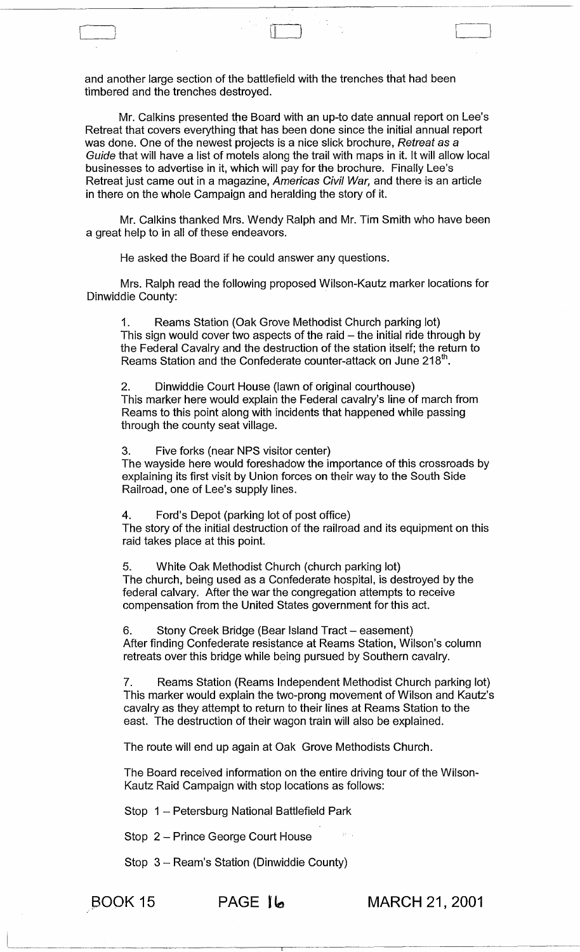and another large section of the battlefield with the trenches that had been timbered and the trenches destroyed.

~~~~~~~~~~~~---~-~-~~,-----~-~------.--.---~.--~-----

 $\Box$ 

Mr. Calkins presented the Board with an up-to date annual report on Lee's Retreat that covers everything that has been done since the initial annual report was done. One of the newest projects is a nice slick brochure, Retreat as a Guide that will have a list of motels along the trail with maps in it. It will allow local businesses to advertise in it, which will pay for the brochure. Finally Lee's Retreat just came out in a magazine, Americas Civil War, and there is an article in there on the whole Campaign and heralding the story of it.

Mr. Calkins thanked Mrs. Wendy Ralph and Mr. Tim Smith who have been a great help to in all of these endeavors.

He asked the Board if he could answer any questions.

Mrs. Ralph read the following proposed Wilson-Kautz marker locations for Dinwiddie County:

1. Reams Station (Oak Grove Methodist Church parking lot) This sign would cover two aspects of the raid  $-$  the initial ride through by the Federal Cavalry and the destruction of the station itself; the return to Reams Station and the Confederate counter-attack on June 218<sup>th</sup>.

2. Dinwiddie Court House (lawn of original courthouse) This marker here would explain the Federal cavalry's line of march from Reams to this point along with incidents that happened while passing through the county seat village.

3. Five forks (near NPS visitor center) The wayside here would foreshadow the importance of this crossroads by explaining its first visit by Union forces on their way to the South Side Railroad, one of Lee's supply lines.

4. Ford's Depot (parking lot of post office) The story of the initial destruction of the railroad and its equipment on this raid takes place at this point.

5. White Oak Methodist Church (church parking lot) The church, being used as a Confederate hospital, is destroyed by the federal calvary. After the war the congregation attempts to receive compensation from the United States government for this act.

6. Stony Creek Bridge (Bear Island Tract – easement) After finding Confederate resistance at Reams Station, Wilson's column retreats over this bridge while being pursued by Southern cavalry.

7. Reams Station (Reams Independent Methodist Church parking lot) This marker would explain the two-prong movement of Wilson and Kautz's cavalry as they attempt to return to their lines at Reams Station to the east. The destruction of their wagon train will also be explained.

The route will end up again at Oak Grove Methodists Church.

The Board received information on the entire driving tour of the Wilson-Kautz Raid Campaign with stop locations as follows:

Stop 1 - Petersburg National Battlefield Park

Stop 2 - Prince George Court House

Stop 3 - Ream's Station (Dinwiddie County)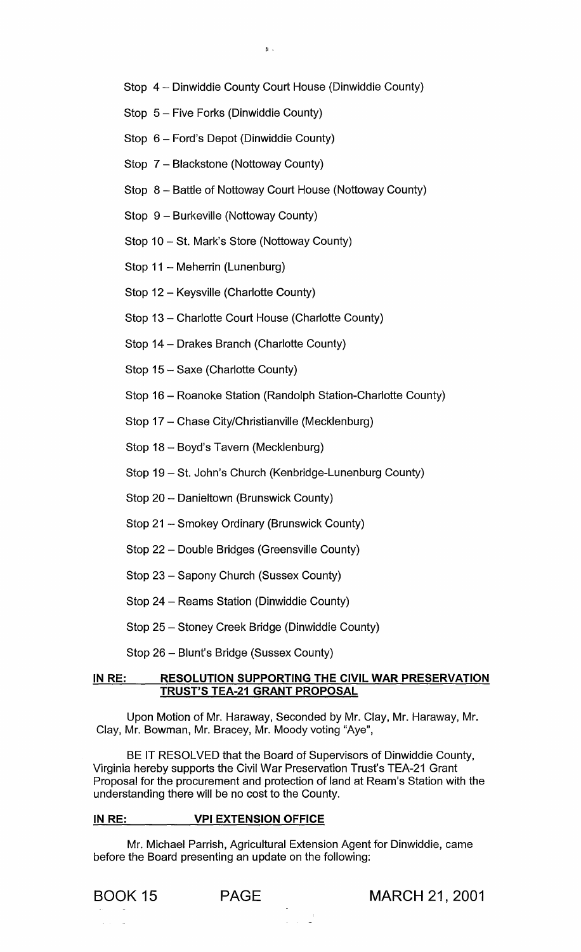- Stop 4 Dinwiddie County Court House (Dinwiddie County)
- Stop 5 Five Forks (Dinwiddie County)
- Stop 6 Ford's Depot (Dinwiddie County)
- Stop 7 Blackstone (Nottoway County)
- Stop 8 Battle of Nottoway Court House (Nottoway County)
- Stop 9 Burkeville (Nottoway County)
- Stop 10 St. Mark's Store (Nottoway County)
- Stop 11 Meherrin (Lunenburg)
- Stop 12 Keysville (Charlotte County)
- Stop 13 Charlotte Court House (Charlotte County)
- Stop 14 Drakes Branch (Charlotte County)
- Stop 15 Saxe (Charlotte County)
- Stop 16 Roanoke Station (Randolph Station-Charlotte County)
- Stop 17 Chase City/Christianville (Mecklenburg)
- Stop 18 Boyd's Tavern (Mecklenburg)
- Stop 19 St. John's Church (Kenbridge-Lunenburg County)
- Stop 20 Danieltown (Brunswick County)
- Stop 21 Smokey Ordinary (Brunswick County)
- Stop 22 Double Bridges (Greensville County)
- Stop 23 Sapony Church (Sussex County)
- Stop 24 Reams Station (Dinwiddie County)
- Stop 25 Stoney Creek Bridge (Dinwiddie County)
- Stop 26 Blunt's Bridge (Sussex County)

#### IN RE: RESOLUTION SUPPORTING THE CIVIL WAR PRESERVATION TRUST'S TEA-21 GRANT PROPOSAL

Upon Motion of Mr. Haraway, Seconded by Mr. Clay, Mr. Haraway, Mr. Clay, Mr. Bowman, Mr. Bracey, Mr. Moody voting "Aye",

BE IT RESOLVED that the Board of Supervisors of Dinwiddie County, Virginia hereby supports the Civil War Preservation Trust's TEA-21 Grant Proposal for the procurement and protection of land at Ream's Station with the understanding there will be no cost to the County.

### IN RE: VPI EXTENSION OFFICE

Mr. Michael Parrish, Agricultural Extension Agent for Dinwiddie, came before the Board presenting an update on the following: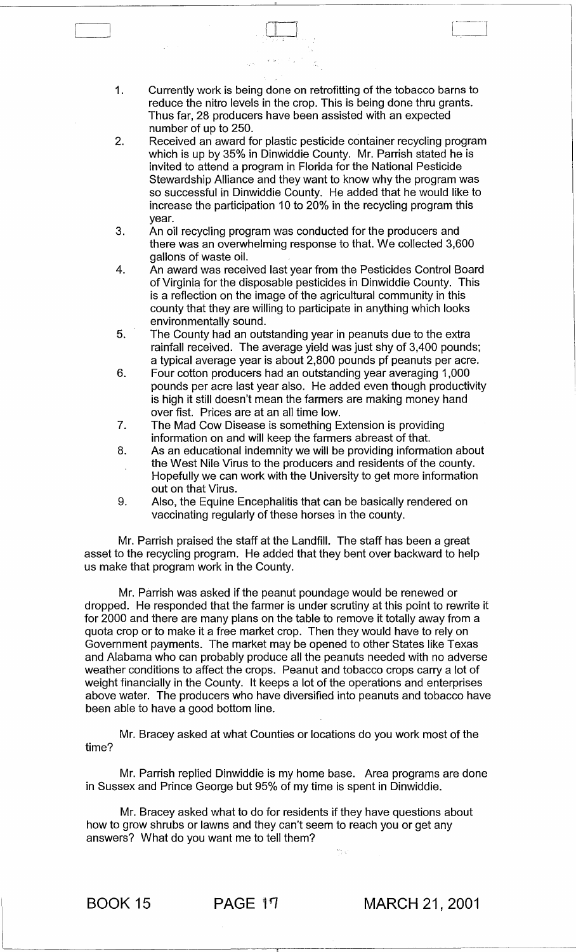1. Currently work is being done on retrofitting of the tobacco barns to reduce the nitro levels in the crop. This is being done thru grants. Thus far, 28 producers have been assisted with an expected number of up to 250.

 $\Box$ 

- 2. Received an award for plastic pesticide container recycling program which is up by 35% in Dinwiddie County. Mr. Parrish stated he is invited to attend a program in Florida for the National Pesticide Stewardship Alliance and they want to know why the program was so successful in Dinwiddie County. He added that he would like to increase the participation 10 to 20% in the recycling program this year.
- 3. An oil recycling program was conducted for the producers and there was an overwhelming response to that. We collected 3,600 gallons of waste oil.
- 4. An award was received last year from the Pesticides Control Board of Virginia for the disposable pesticides in Dinwiddie County. This is a reflection on the image of the agricultural community in this county that they are willing to participate in anything which looks environmentally sound.
- 5. The County had an outstanding year in peanuts due to the extra rainfall received. The average yield was just shy of 3,400 pounds; a typical average year is about 2,800 pounds pf peanuts per acre.
- 6. Four cotton producers had an outstanding year averaging 1,000 pounds per acre last year also. He added even though productivity is high it still doesn't mean the farmers are making money hand over fist. Prices are at an all time low.
- 7. The Mad Cow Disease is something Extension is providing information on and will keep the farmers abreast of that.
- 8. As an educational indemnity we will be providing information about the West Nile Virus to the producers and residents of the county. Hopefully we can work with the University to get more information out on that Virus.
- 9. Also, the Equine Encephalitis that can be basically rendered on vaccinating regularly of these horses in the county.

Mr. Parrish praised the staff at the Landfill. The staff has been a great asset to the recycling program. He added that they bent over backward to help us make that program work in the County.

Mr. Parrish was asked if the peanut poundage would be renewed or dropped. He responded that the farmer is under scrutiny at this point to rewrite it for 2000 and there are many plans on the table to remove it totally away from a quota crop or to make it a free market crop. Then they would have to rely on Government payments. The market may be opened to other States like Texas and Alabama who can probably produce all the peanuts needed with no adverse weather conditions to affect the crops. Peanut and tobacco crops carry a lot of weight financially in the County. It keeps a lot of the operations and enterprises above water. The producers who have diversified into peanuts and tobacco have been able to have a good bottom line.

Mr. Bracey asked at what Counties or locations do you work most of the time?

Mr. Parrish replied Dinwiddie is my home base. Area programs are done in Sussex and Prince George but 95% of my time is spent in Dinwiddie.

Mr. Bracey asked what to do for residents if they have questions about how to grow shrubs or lawns and they can't seem to reach you or get any answers? What do you want me to tell them?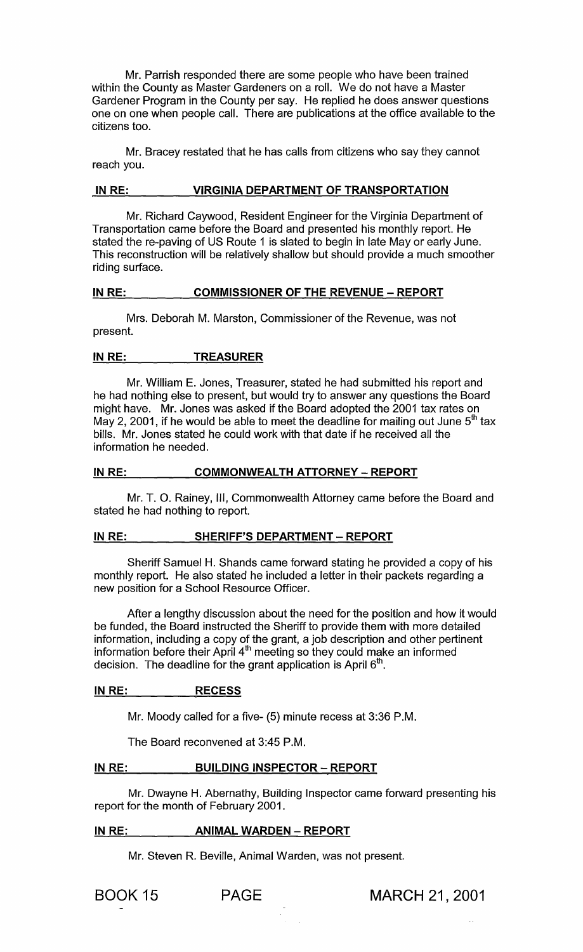Mr. Parrish responded there are some people who have been trained within the County as Master Gardeners on a roll. We do not have a Master Gardener Program in the County per say. He replied he does answer questions one on one when people call. There are publications at the office available to the citizens too.

Mr. Bracey restated that he has calls from citizens who say they cannot reach you.

# **IN RE: VIRGINIA DEPARTMENT OF TRANSPORTATION**

Mr. Richard Caywood, Resident Engineer for the Virginia Department of Transportation came before the Board and presented his monthly report. He stated the re-paving of US Route 1 is slated to begin in late Mayor early June. This reconstruction will be relatively shallow but should provide a much smoother riding surface.

## IN RE: COMMISSIONER OF THE REVENUE - REPORT

Mrs. Deborah M. Marston, Commissioner of the Revenue, was not present.

# **INRE: TREASURER**

Mr. William E. Jones, Treasurer, stated he had submitted his report and he had nothing else to present, but would try to answer any questions the Board might have. Mr. Jones was asked if the Board adopted the 2001 tax rates on May 2, 2001, if he would be able to meet the deadline for mailing out June  $5<sup>th</sup>$  tax bills. Mr. Jones stated he could work with that date if he received all the information he needed.

## **INRE: COMMONWEALTH ATTORNEY - REPORT**

Mr. T. O. Rainey, III, Commonwealth Attorney came before the Board and stated he had nothing to report.

# **IN RE: SHERIFF'S DEPARTMENT - REPORT**

Sheriff Samuel H. Shands came forward stating he provided a copy of his monthly report. He also stated he included a letter in their packets regarding a new position for a School Resource Officer.

After a lengthy discussion about the need for the position and how it would be funded, the Board instructed the Sheriff to provide them with more detailed information, including a copy of the grant, a job description and other pertinent information before their April 4th meeting so they could make an informed decision. The deadline for the grant application is April  $6<sup>th</sup>$ .

# **IN RE: RECESS**

Mr. Moody called for a five- (5) minute recess at 3:36 P.M.

The Board reconvened at 3:45 P.M.

## **IN RE: BUILDING INSPECTOR - REPORT**

Mr. Dwayne H. Abernathy, Building Inspector came forward presenting his report for the month of February 2001.

# **IN RE: ANIMAL WARDEN - REPORT**

Mr. Steven R. Beville, Animal Warden, was not present.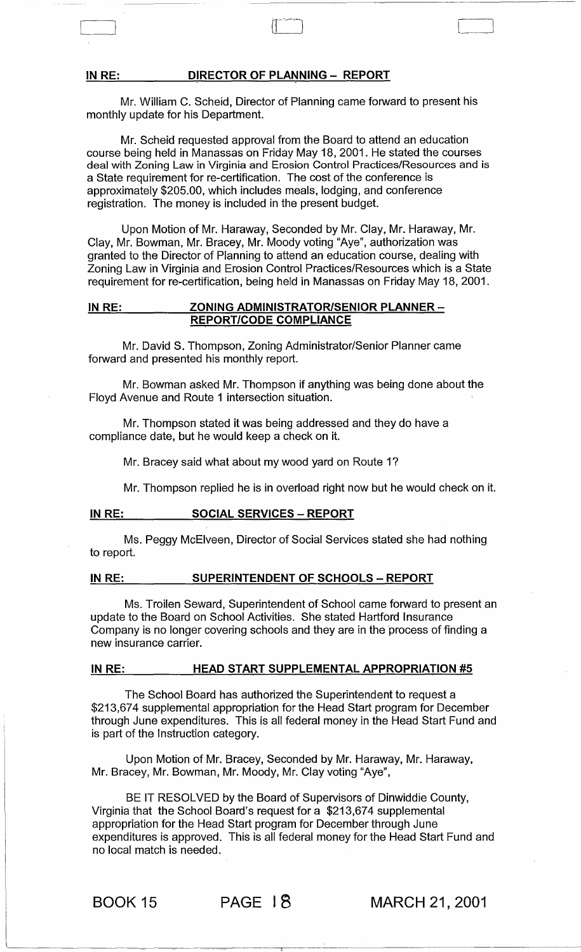## IN RE: DIRECTOR OF PLANNING - REPORT

Mr. William C. Scheid, Director of Planning came forward to present his monthly update for his Department.

Mr. Scheid requested approval from the Board to attend an education course being held in Manassas on Friday May 18, 2001. He stated the courses deal with Zoning Law in Virginia and Erosion Control Practices/Resources and is a State requirement for re-certification. The cost of the conference is approximately \$205.00, which includes meals, lodging, and conference registration. The money is included in the present budget.

Upon Motion of Mr. Haraway, Seconded by Mr. Clay, Mr. Haraway, Mr. Clay, Mr. Bowman, Mr. Bracey, Mr. Moody voting "Aye", authorization was granted to the Director of Planning to attend an education course, dealing with Zoning Law in Virginia and Erosion Control Practices/Resources which is a State requirement for re-certification, being held in Manassas on Friday May 18, 2001.

# IN RE: ZONING ADMINISTRATOR/SENIOR PLANNER-REPORT/CODE COMPLIANCE

Mr. David S. Thompson, Zoning Administrator/Senior Planner came forward and presented his monthly report.

Mr. Bowman asked Mr. Thompson if anything was being done about the Floyd Avenue and Route 1 intersection situation.

Mr. Thompson stated it was being addressed and they do have a compliance date, but he would keep a check on it.

Mr. Bracey said what about my wood yard on Route 1?

Mr. Thompson replied he is in overload right now but he would check on it.

# IN RE: SOCIAL SERVICES – REPORT

Ms. Peggy McElveen, Director of Social Services stated she had nothing to report.

# IN RE: SUPERINTENDENT OF SCHOOLS - REPORT

Ms. Troilen Seward, Superintendent of School came forward to present an update to the Board on School Activities. She stated Hartford Insurance Company is no longer covering schools and they are in the process of finding a new insurance carrier.

#### IN RE: HEAD START SUPPLEMENTAL APPROPRIATION #5

The School Board has authorized the Superintendent to request a \$213,674 supplemental appropriation for the Head Start program for December through June expenditures. This is all federal money in the Head Start Fund and is part of the Instruction category.

Upon Motion of Mr. Bracey, Seconded by Mr. Haraway, Mr. Haraway, Mr. Bracey, Mr. Bowman, Mr. Moody, Mr. Clay voting "Aye",

BE IT RESOLVED by the Board of Supervisors of Dinwiddie County, Virginia that the School Board's request for a \$213,674 supplemental appropriation for the Head Start program for December through June expenditures is approved. This is all federal money for the Head Start Fund and no local match is needed.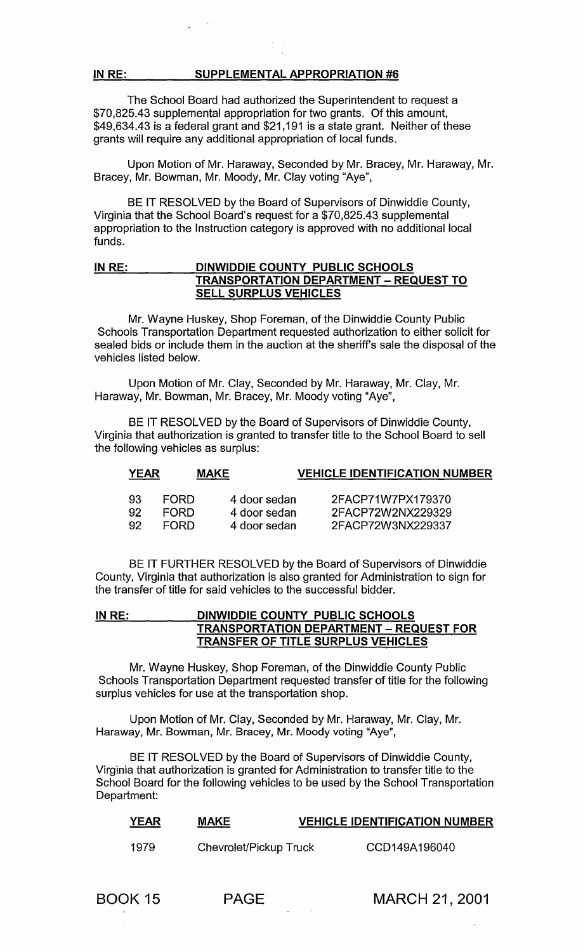The School Board had authorized the Superintendent to request a \$70,825.43 supplemental appropriation for two grants. Of this amount, \$49,634.43 is a federal grant and \$21,191 is a state grant. Neither of these grants will require any additional appropriation of local funds.

Upon Motion of Mr. Haraway, Seconded by Mr. Bracey, Mr. Haraway, Mr. Bracey, Mr. Bowman, Mr. Moody, Mr. Clay voting "Aye",

BE IT RESOLVED by the Board of Supervisors of Dinwiddie County, Virginia that the School Board's request for a \$70,825.43 supplemental appropriation to the Instruction category is approved with no additional local funds.

# IN RE: DINWIDDIE COUNTY PUBLIC SCHOOLS **TRANSPORTATION DEPARTMENT - REQUEST TO** SELL SURPLUS VEHICLES

Mr. Wayne Huskey, Shop Foreman, of the Dinwiddie County Public Schools Transportation Department requested authorization to either solicit for sealed bids or include them in the auction at the sheriff's sale the disposal of the vehicles listed below.

Upon Motion of Mr. Clay, Seconded by Mr. Haraway, Mr. Clay, Mr. Haraway, Mr. Bowman, Mr. Bracey, Mr. Moody voting "Aye",

BE IT RESOLVED by the Board of Supervisors of Dinwiddie County, Virginia that authorization is granted to transfer title to the School Board to sell the following vehicles as surplus:

| <u>YEAR</u> |             | <u>MAKE</u>  | <b>VEHICLE IDENTIFICATION NUMBER</b> |
|-------------|-------------|--------------|--------------------------------------|
| -93         | <b>FORD</b> | 4 door sedan | 2FACP71W7PX179370                    |
| -92         | <b>FORD</b> | 4 door sedan | 2FACP72W2NX229329                    |

2FACP72W3NX229337

BE IT FURTHER RESOLVED by the Board of Supervisors of Dinwiddie County, Virginia that authorization is also granted for Administration to sign for the transfer of title for said vehicles to the successful bidder.

4 door sedan

# IN RE: \_\_\_\_\_\_DINWIDDIE COUNTY\_PUBLIC SCHOOLS TRANSPORTATION DEPARTMENT - REQUEST FOR TRANSFER OF TITLE SURPLUS VEHICLES

Mr. Wayne Huskey, Shop Foreman, of the Dinwiddie County Public Schools Transportation Department requested transfer of title for the following surplus vehicles for use at the transportation shop.

Upon Motion of Mr. Clay, Seconded by Mr. Haraway, Mr. Clay, Mr. Haraway, Mr. Bowman, Mr. Bracey, Mr. Moody voting "Aye",

BE IT RESOLVED by the Board of Supervisors of Dinwiddie County, Virginia that authorization is granted for Administration to transfer title to the School Board for the following vehicles to be used by the School Transportation Department:

| <b>YEAR</b><br>______ | <b>MAKE</b><br>_____   | <b>VEHICLE IDENTIFICATION NUMBER</b> |
|-----------------------|------------------------|--------------------------------------|
| 1979                  | Chevrolet/Pickup Truck | CCD149A196040                        |

92

FORD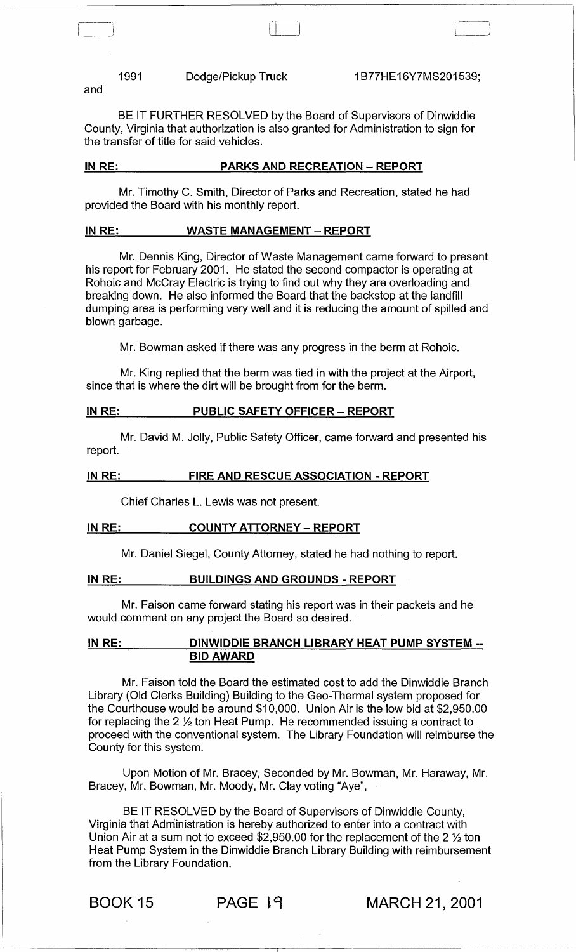and

1991 Dodge/Pickup Truck 1B77HE16Y7MS201539;

( II L\_I

BE IT FURTHER RESOLVED by the Board of Supervisors of Dinwiddie County, Virginia that authorization is also granted for Administration to sign for the transfer of title for said vehicles.

### IN RE: PARKS AND RECREATION - REPORT

Mr. Timothy C. Smith, Director of Parks and Recreation, stated he had provided the Board with his monthly report.

## IN RE: WASTE MANAGEMENT - REPORT

Mr. Dennis King, Director of Waste Management came forward to present his report for February 2001. He stated the second compactor is operating at Rohoic and McCray Electric is trying to find out why they are overloading and breaking down. He also informed the Board that the backstop at the landfill dumping area is performing very well and it is reducing the amount of spilled and blown garbage.

Mr. Bowman asked if there was any progress in the berm at Rohoic.

Mr. King replied that the berm was tied in with the project at the Airport, since that is where the dirt will be brought from for the berm.

### IN RE: PUBLIC SAFETY OFFICER - REPORT

Mr. David M. Jolly, Public Safety Officer, came forward and presented his report.

#### INRE: FIRE AND RESCUE ASSOCIATION - REPORT

Chief Charles L. Lewis was not present.

### IN RE: COUNTY ATTORNEY - REPORT

Mr. Daniel Siegel, County Attorney, stated he had nothing to report.

# IN RE: BUILDINGS AND GROUNDS - REPORT

Mr. Faison came forward stating his report was in their packets and he would comment on any project the Board so desired.

### IN RE: DINWIDDIE BRANCH LIBRARY HEAT PUMP SYSTEM --BID AWARD

Mr. Faison told the Board the estimated cost to add the Dinwiddie Branch Library (Old Clerks Building) Building to the Geo-Thermal system proposed for the Courthouse would be around \$10,000. Union Air is the low bid at \$2,950.00 for replacing the 2 % ton Heat Pump. He recommended issuing a contract to proceed with the conventional system. The Library Foundation will reimburse the County for this system.

Upon Motion of Mr. Bracey, Seconded by Mr. Bowman, Mr. Haraway, Mr. Bracey, Mr. Bowman, Mr. Moody, Mr. Clay voting "Aye",

BE IT RESOLVED by the Board of Supervisors of Dinwiddie County, Virginia that Administration is hereby authorized to enter into a contract with Union Air at a sum not to exceed  $$2,950.00$  for the replacement of the 2  $\frac{1}{2}$  ton Heat Pump System in the Dinwiddie Branch Library Building with reimbursement from the Library Foundation.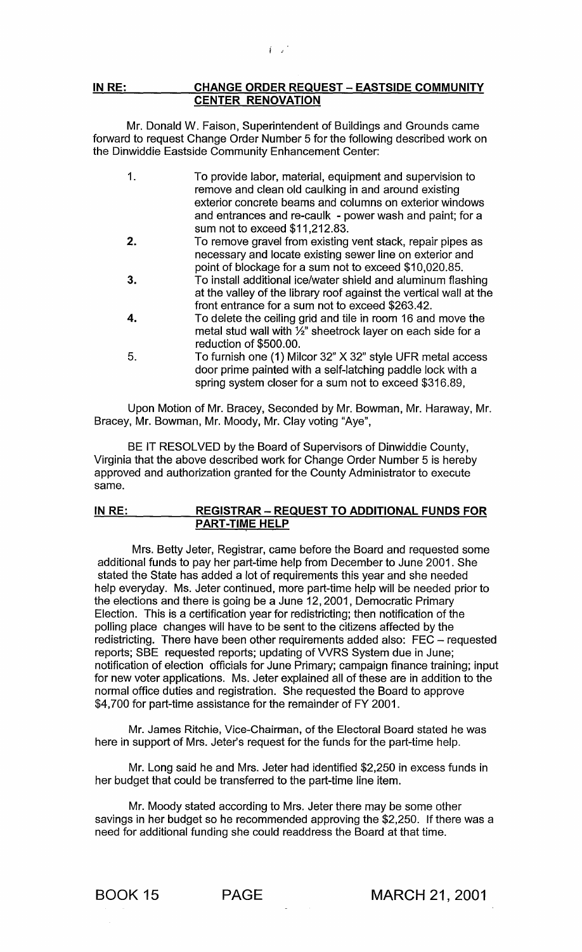## IN RE: CHANGE ORDER REQUEST - EASTSIDE COMMUNITY CENTER RENOVATION

Mr. Donald W. Faison, Superintendent of Buildings and Grounds came forward to request Change Order Number 5 for the following described work on the Dinwiddie Eastside Community Enhancement Center:

| 1. | To provide labor, material, equipment and supervision to<br>remove and clean old caulking in and around existing |
|----|------------------------------------------------------------------------------------------------------------------|
|    | exterior concrete beams and columns on exterior windows                                                          |
|    | and entrances and re-caulk - power wash and paint; for a                                                         |
|    | sum not to exceed \$11,212.83.                                                                                   |
| 2. | To remove gravel from existing vent stack, repair pipes as                                                       |
|    | necessary and locate existing sewer line on exterior and                                                         |
|    | point of blockage for a sum not to exceed \$10,020.85.                                                           |
| 3. | To install additional ice/water shield and aluminum flashing                                                     |
|    | at the valley of the library roof against the vertical wall at the                                               |
|    | front entrance for a sum not to exceed \$263.42.                                                                 |
| 4. | To delete the ceiling grid and tile in room 16 and move the                                                      |
|    | metal stud wall with 1/2" sheetrock layer on each side for a                                                     |
|    | reduction of \$500.00.                                                                                           |
| 5. | To furnish one (1) Milcor 32" X 32" style UFR metal access                                                       |
|    | door prime painted with a self-latching paddle lock with a                                                       |
|    | spring system closer for a sum not to exceed \$316.89,                                                           |

Upon Motion of Mr. Bracey, Seconded by Mr. Bowman, Mr. Haraway, Mr. Bracey, Mr. Bowman, Mr. Moody, Mr. Clay voting "Aye",

BE IT RESOLVED by the Board of Supervisors of Dinwiddie County, Virginia that the above described work for Change Order Number 5 is hereby approved and authorization granted for the County Administrator to execute same.

## IN RE: REGISTRAR - REQUEST TO ADDITIONAL FUNDS FOR PART-TIME HELP ,

Mrs. Betty Jeter, Registrar, came before the Board and requested some additional funds to pay her part-time help from December to June 2001. She stated the State has added a lot of requirements this year and she needed help everyday. Ms. Jeter continued, more part-time help will be needed prior to the elections and there is going be a June 12,2001, Democratic Primary Election. This is a certification year for redistricting; then notification of the polling place changes will have to be sent to the citizens affected by the redistricting. There have been other requirements added also: FEC – requested reports; SBE requested reports; updating of WRS System due in June; notification of election officials for June Primary; campaign finance training; input for new voter applications. Ms. Jeter explained all of these are in addition to the normal office duties and registration. She requested the Board to approve \$4,700 for part-time assistance for the remainder of FY 2001.

Mr. James Ritchie, Vice-Chairman, of the Electoral Board stated he was here in support of Mrs. Jeter's request for the funds for the part-time help.

Mr. Long said he and Mrs. Jeter had identified \$2,250 in excess funds in her budget that could be transferred to the part-time line item.

Mr. Moody stated according to Mrs. Jeter there may be some other savings in her budget so he recommended approving the \$2,250. If there was a need for additional funding she could readdress the Board at that time.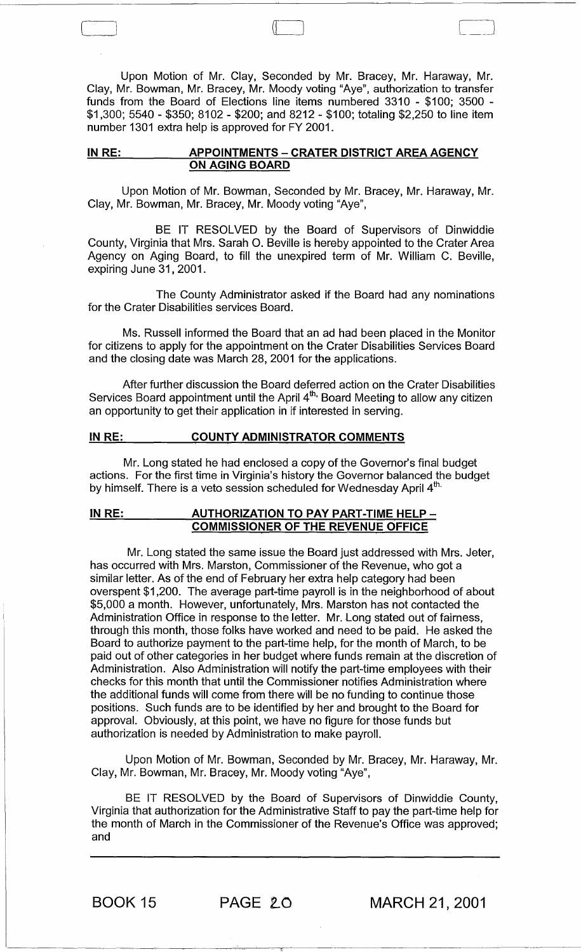Upon Motion of Mr. Clay, Seconded by Mr. Bracey, Mr. Haraway, Mr. Clay, Mr. Bowman, Mr. Bracey, Mr. Moody voting "Aye", authorization to transfer funds from the Board of Elections line items numbered 3310 - \$100; 3500 - \$1,300; 5540 - \$350; 8102 - \$200; and 8212 - \$100; totaling \$2,250 to line item number 1301 extra help is approved for FY 2001.

 $\pi$ 

### IN RE: APPOINTMENTS - CRATER DISTRICT AREA AGENCY ON AGING BOARD

Upon Motion of Mr. Bowman, Seconded by Mr. Bracey, Mr. Haraway, Mr. Clay, Mr. Bowman, Mr. Bracey, Mr. Moody voting "Aye",

BE IT RESOLVED by the Board of Supervisors of Dinwiddie County, Virginia that Mrs. Sarah O. Beville is hereby appointed to the Crater Area Agency on Aging Board, to fill the unexpired term of Mr. William C. Beville, expiring June 31,2001.

The County Administrator asked if the Board had any nominations for the Crater Disabilities services Board.

Ms. Russell informed the Board that an ad had been placed in the Monitor for citizens to apply for the appointment on the Crater Disabilities Services Board and the closing date was March 28, 2001 for the applications.

After further discussion the Board deferred action on the Crater Disabilities Services Board appointment until the April 4<sup>th,</sup> Board Meeting to allow any citizen an opportunity to get their application in if interested in serving.

## IN RE: COUNTY ADMINISTRATOR COMMENTS

Mr. Long stated he had enclosed a copy of the Governor's final budget actions. For the first time in Virginia's history the Governor balanced the budget by himself. There is a veto session scheduled for Wednesday April 4<sup>th.</sup>

## IN RE: AUTHORIZATION TO PAY PART-TIME HELP -COMMISSIONER OF THE REVENUE OFFICE

Mr. Long stated the same issue the Board just addressed with Mrs. Jeter, has occurred with Mrs. Marston, Commissioner of the Revenue, who got a similar letter. As of the end of February her extra help category had been overspent \$1,200. The average part-time payroll is in the neighborhood of about \$5,000 a month. However, unfortunately, Mrs. Marston has not contacted the Administration Office in response to the letter. Mr. Long stated out of fairness, through this month, those folks have worked and need to be paid. He asked the Board to authorize payment to the part-time help, for the month of March, to be paid out of other categories in her budget where funds remain at the discretion of Administration. Also Administration will notify the part-time employees with their checks for this month that until the Commissioner notifies Administration where the additional funds will come from there will be no funding to continue those positions. Such funds are to be identified by her and brought to the Board for approval. Obviously, at this point, we have no figure for those funds but authorization is needed by Administration to make payroll.

Upon Motion of Mr. Bowman, Seconded by Mr. Bracey, Mr. Haraway, Mr. Clay, Mr. Bowman, Mr. Bracey, Mr. Moody voting "Aye",

BE IT RESOLVED by the Board of Supervisors of Dinwiddie County, Virginia that authorization for the Administrative Staff to pay the part-time help for the month of March in the Commissioner of the Revenue's Office was approved; and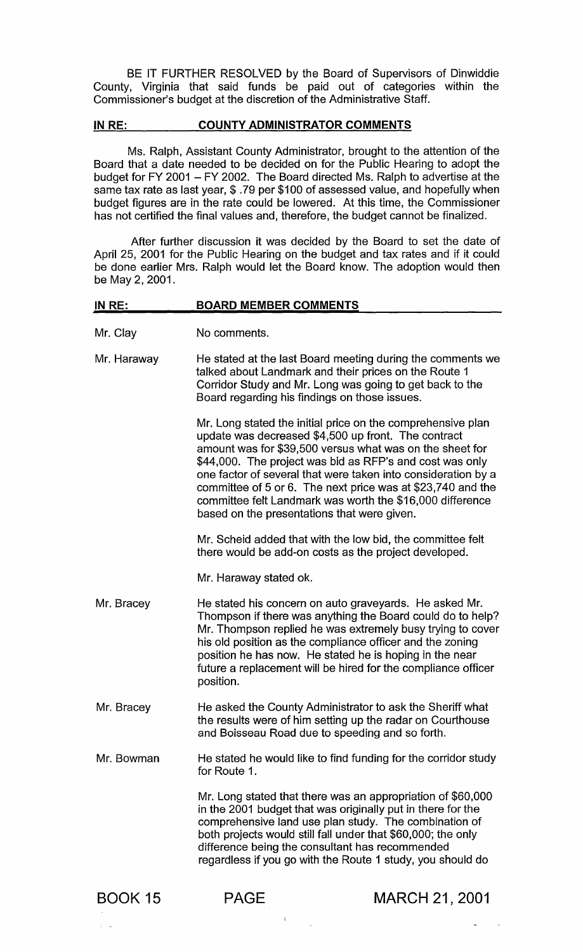BE IT FURTHER RESOLVED by the Board of Supervisors of Dinwiddie County, Virginia that said funds be paid out of categories within the Commissioner's budget at the discretion of the Administrative Staff.

## IN RE: COUNTY ADMINISTRATOR COMMENTS

Ms. Ralph, Assistant County Administrator, brought to the attention of the Board that a date needed to be decided on for the Public Hearing to adopt the budget for FY 2001 - FY 2002. The Board directed Ms. Ralph to advertise at the same tax rate as last year, \$ .79 per \$100 of assessed value, and hopefully when budget figures are in the rate could be lowered. At this time, the Commissioner has not certified the final values and, therefore, the budget cannot be finalized.

After further discussion it was decided by the Board to set the date of April 25, 2001 for the Public Hearing on the budget and tax rates and if it could be done earlier Mrs. Ralph would let the Board know. The adoption would then be May 2, 2001.

| <b>BOARD MEMBER COMMENTS</b><br>IN RE: |                                                                                                                                                                                                                                                                                                                                                                                          |                                                                                                                                                                                                                                                                                                                                                                                                                                         |  |
|----------------------------------------|------------------------------------------------------------------------------------------------------------------------------------------------------------------------------------------------------------------------------------------------------------------------------------------------------------------------------------------------------------------------------------------|-----------------------------------------------------------------------------------------------------------------------------------------------------------------------------------------------------------------------------------------------------------------------------------------------------------------------------------------------------------------------------------------------------------------------------------------|--|
| Mr. Clay                               | No comments.                                                                                                                                                                                                                                                                                                                                                                             |                                                                                                                                                                                                                                                                                                                                                                                                                                         |  |
| Mr. Haraway                            | He stated at the last Board meeting during the comments we<br>talked about Landmark and their prices on the Route 1<br>Corridor Study and Mr. Long was going to get back to the<br>Board regarding his findings on those issues.                                                                                                                                                         |                                                                                                                                                                                                                                                                                                                                                                                                                                         |  |
|                                        | based on the presentations that were given.                                                                                                                                                                                                                                                                                                                                              | Mr. Long stated the initial price on the comprehensive plan<br>update was decreased \$4,500 up front. The contract<br>amount was for \$39,500 versus what was on the sheet for<br>\$44,000. The project was bid as RFP's and cost was only<br>one factor of several that were taken into consideration by a<br>committee of 5 or 6. The next price was at \$23,740 and the<br>committee felt Landmark was worth the \$16,000 difference |  |
|                                        |                                                                                                                                                                                                                                                                                                                                                                                          | Mr. Scheid added that with the low bid, the committee felt<br>there would be add-on costs as the project developed.                                                                                                                                                                                                                                                                                                                     |  |
|                                        | Mr. Haraway stated ok.                                                                                                                                                                                                                                                                                                                                                                   |                                                                                                                                                                                                                                                                                                                                                                                                                                         |  |
| Mr. Bracey                             | He stated his concern on auto graveyards. He asked Mr.<br>Thompson if there was anything the Board could do to help?<br>Mr. Thompson replied he was extremely busy trying to cover<br>his old position as the compliance officer and the zoning<br>position he has now. He stated he is hoping in the near<br>future a replacement will be hired for the compliance officer<br>position. |                                                                                                                                                                                                                                                                                                                                                                                                                                         |  |
| Mr. Bracey                             | He asked the County Administrator to ask the Sheriff what<br>the results were of him setting up the radar on Courthouse<br>and Boisseau Road due to speeding and so forth.                                                                                                                                                                                                               |                                                                                                                                                                                                                                                                                                                                                                                                                                         |  |
| Mr. Bowman<br>for Route 1.             |                                                                                                                                                                                                                                                                                                                                                                                          | He stated he would like to find funding for the corridor study                                                                                                                                                                                                                                                                                                                                                                          |  |
|                                        | Mr. Long stated that there was an appropriation of \$60,000<br>in the 2001 budget that was originally put in there for the<br>comprehensive land use plan study. The combination of<br>both projects would still fall under that \$60,000; the only<br>difference being the consultant has recommended<br>regardless if you go with the Route 1 study, you should do                     |                                                                                                                                                                                                                                                                                                                                                                                                                                         |  |
| <b>BOOK 15</b>                         | <b>PAGE</b>                                                                                                                                                                                                                                                                                                                                                                              | <b>MARCH 21, 2001</b>                                                                                                                                                                                                                                                                                                                                                                                                                   |  |

 $\sim 4$  .

 $\sim$ 

 $\ddot{\phantom{a}}$